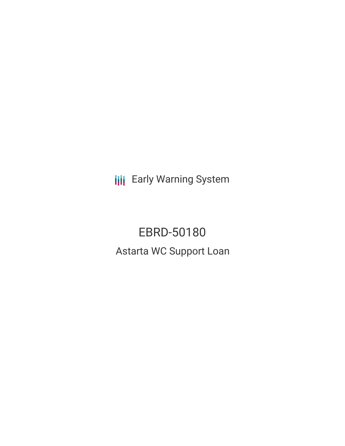**III** Early Warning System

EBRD-50180 Astarta WC Support Loan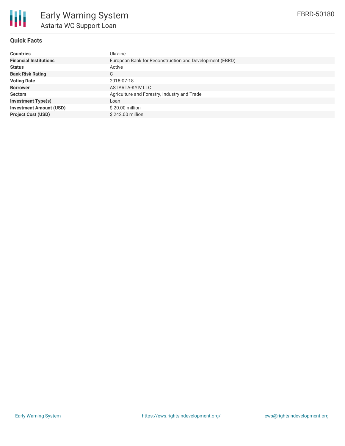

# **Quick Facts**

| <b>Countries</b>               | Ukraine                                                 |
|--------------------------------|---------------------------------------------------------|
| <b>Financial Institutions</b>  | European Bank for Reconstruction and Development (EBRD) |
| <b>Status</b>                  | Active                                                  |
| <b>Bank Risk Rating</b>        | C                                                       |
| <b>Voting Date</b>             | 2018-07-18                                              |
| <b>Borrower</b>                | ASTARTA-KYIV LLC                                        |
| <b>Sectors</b>                 | Agriculture and Forestry, Industry and Trade            |
| <b>Investment Type(s)</b>      | Loan                                                    |
| <b>Investment Amount (USD)</b> | \$20.00 million                                         |
| <b>Project Cost (USD)</b>      | \$242.00 million                                        |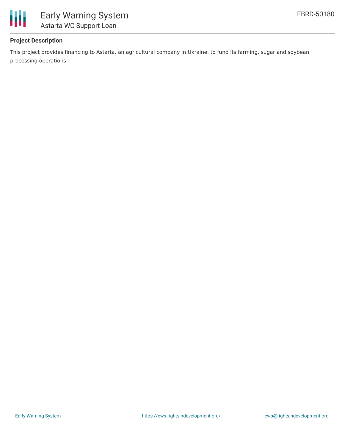

# **Project Description**

This project provides financing to Astarta, an agricultural company in Ukraine, to fund its farming, sugar and soybean processing operations.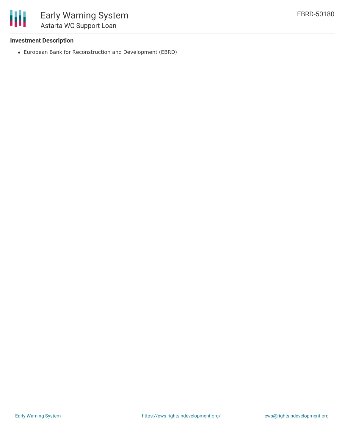

# **Investment Description**

European Bank for Reconstruction and Development (EBRD)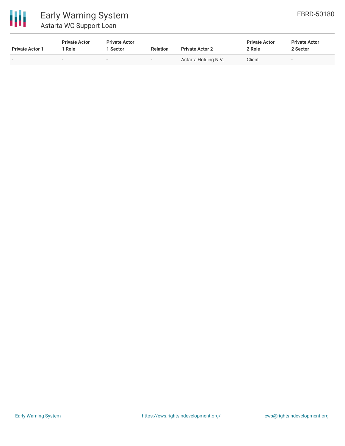

# Early Warning System Astarta WC Support Loan

| <b>Private Actor 1</b> | <b>Private Actor</b><br><sup>1</sup> Role | <b>Private Actor</b><br><b>Sector</b> | <b>Relation</b>          | <b>Private Actor 2</b> | <b>Private Actor</b><br>2 Role | <b>Private Actor</b><br>2 Sector |  |
|------------------------|-------------------------------------------|---------------------------------------|--------------------------|------------------------|--------------------------------|----------------------------------|--|
| -                      | $\overline{\phantom{a}}$                  | $\overline{\phantom{a}}$              | $\overline{\phantom{a}}$ | Astarta Holding N.V.   | Client                         | -                                |  |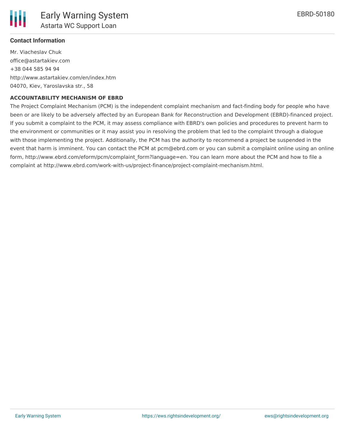

## **Contact Information**

Mr. Viacheslav Chuk office@astartakiev.com +38 044 585 94 94 http://www.astartakiev.com/en/index.htm 04070, Kiev, Yaroslavska str., 58

#### **ACCOUNTABILITY MECHANISM OF EBRD**

The Project Complaint Mechanism (PCM) is the independent complaint mechanism and fact-finding body for people who have been or are likely to be adversely affected by an European Bank for Reconstruction and Development (EBRD)-financed project. If you submit a complaint to the PCM, it may assess compliance with EBRD's own policies and procedures to prevent harm to the environment or communities or it may assist you in resolving the problem that led to the complaint through a dialogue with those implementing the project. Additionally, the PCM has the authority to recommend a project be suspended in the event that harm is imminent. You can contact the PCM at pcm@ebrd.com or you can submit a complaint online using an online form, http://www.ebrd.com/eform/pcm/complaint\_form?language=en. You can learn more about the PCM and how to file a complaint at http://www.ebrd.com/work-with-us/project-finance/project-complaint-mechanism.html.